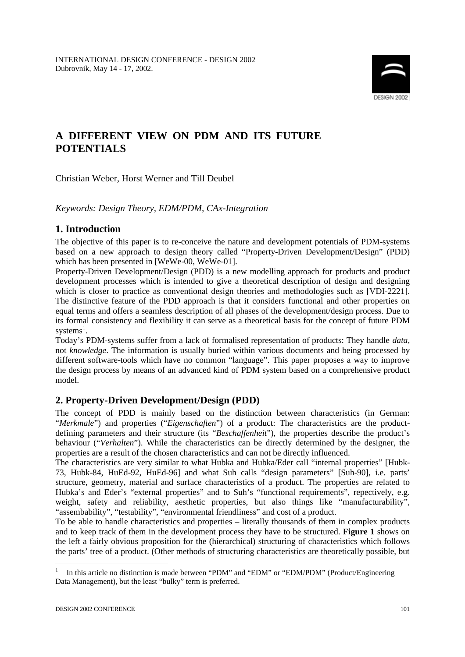

# **A DIFFERENT VIEW ON PDM AND ITS FUTURE POTENTIALS**

Christian Weber, Horst Werner and Till Deubel

*Keywords: Design Theory, EDM/PDM, CAx-Integration*

# **1. Introduction**

The objective of this paper is to re-conceive the nature and development potentials of PDM-systems based on a new approach to design theory called "Property-Driven Development/Design" (PDD) which has been presented in [WeWe-00, WeWe-01].

Property-Driven Development/Design (PDD) is a new modelling approach for products and product development processes which is intended to give a theoretical description of design and designing which is closer to practice as conventional design theories and methodologies such as [VDI-2221]. The distinctive feature of the PDD approach is that it considers functional and other properties on equal terms and offers a seamless description of all phases of the development/design process. Due to its formal consistency and flexibility it can serve as a theoretical basis for the concept of future PDM systems<sup>1</sup>.

Today's PDM-systems suffer from a lack of formalised representation of products: They handle *data*, not *knowledge*. The information is usually buried within various documents and being processed by different software-tools which have no common "language". This paper proposes a way to improve the design process by means of an advanced kind of PDM system based on a comprehensive product model.

# **2. Property-Driven Development/Design (PDD)**

The concept of PDD is mainly based on the distinction between characteristics (in German: "*Merkmale*") and properties ("*Eigenschaften*") of a product: The characteristics are the productdefining parameters and their structure (its "*Beschaffenheit*"), the properties describe the product's behaviour ("*Verhalten*"). While the characteristics can be directly determined by the designer, the properties are a result of the chosen characteristics and can not be directly influenced.

The characteristics are very similar to what Hubka and Hubka/Eder call "internal properties" [Hubk-73, Hubk-84, HuEd-92, HuEd-96] and what Suh calls "design parameters" [Suh-90], i.e. parts' structure, geometry, material and surface characteristics of a product. The properties are related to Hubka's and Eder's "external properties" and to Suh's "functional requirements", repectively, e.g. weight, safety and reliability, aesthetic properties, but also things like "manufacturability", "assembability", "testability", "environmental friendliness" and cost of a product.

To be able to handle characteristics and properties – literally thousands of them in complex products and to keep track of them in the development process they have to be structured. **Figure 1** shows on the left a fairly obvious proposition for the (hierarchical) structuring of characteristics which follows the parts' tree of a product. (Other methods of structuring characteristics are theoretically possible, but

l

<sup>1</sup> In this article no distinction is made between "PDM" and "EDM" or "EDM/PDM" (Product/Engineering Data Management), but the least "bulky" term is preferred.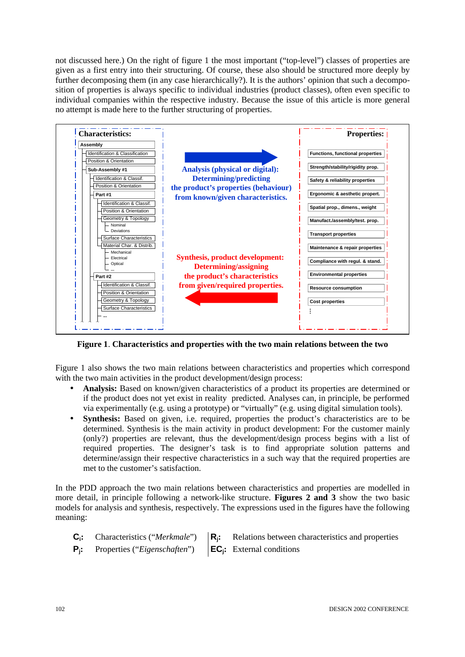not discussed here.) On the right of figure 1 the most important ("top-level") classes of properties are given as a first entry into their structuring. Of course, these also should be structured more deeply by further decomposing them (in any case hierarchically?). It is the authors' opinion that such a decomposition of properties is always specific to individual industries (product classes), often even specific to individual companies within the respective industry. Because the issue of this article is more general no attempt is made here to the further structuring of properties.



**Figure 1**. **Characteristics and properties with the two main relations between the two**

Figure 1 also shows the two main relations between characteristics and properties which correspond with the two main activities in the product development/design process:

- **Analysis:** Based on known/given characteristics of a product its properties are determined or if the product does not yet exist in reality predicted. Analyses can, in principle, be performed via experimentally (e.g. using a prototype) or "virtually" (e.g. using digital simulation tools).
- **Synthesis:** Based on given, i.e. required, properties the product's characteristics are to be determined. Synthesis is the main activity in product development: For the customer mainly (only?) properties are relevant, thus the development/design process begins with a list of required properties. The designer's task is to find appropriate solution patterns and determine/assign their respective characteristics in a such way that the required properties are met to the customer's satisfaction.

In the PDD approach the two main relations between characteristics and properties are modelled in more detail, in principle following a network-like structure. **Figures 2 and 3** show the two basic models for analysis and synthesis, respectively. The expressions used in the figures have the following meaning:

- **Ci:** Characteristics ("*Merkmale*") **Rj:** Relations between characteristics and properties
- **Pj:** Properties ("*Eigenschaften*") **ECj:** External conditions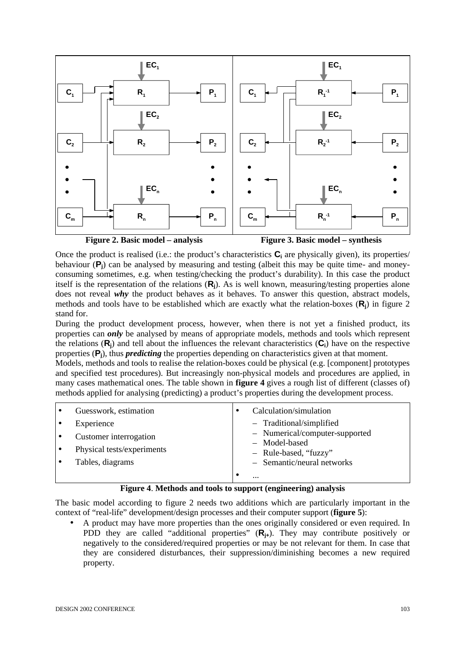



**Figure 2. Basic model – analysis Figure 3. Basic model – synthesis**

Once the product is realised (i.e.: the product's characteristics  $C_i$  are physically given), its properties/ behaviour (**Pj**) can be analysed by measuring and testing (albeit this may be quite time- and moneyconsuming sometimes, e.g. when testing/checking the product's durability). In this case the product itself is the representation of the relations (**Rj**). As is well known, measuring/testing properties alone does not reveal *why* the product behaves as it behaves. To answer this question, abstract models, methods and tools have to be established which are exactly what the relation-boxes (**Rj**) in figure 2 stand for.

During the product development process, however, when there is not yet a finished product, its properties can *only* be analysed by means of appropriate models, methods and tools which represent the relations  $(\mathbf{R}_i)$  and tell about the influences the relevant characteristics  $(\mathbf{C}_i)$  have on the respective properties (**Pj**), thus *predicting* the properties depending on characteristics given at that moment.

Models, methods and tools to realise the relation-boxes could be physical (e.g. [component] prototypes and specified test procedures). But increasingly non-physical models and procedures are applied, in many cases mathematical ones. The table shown in **figure 4** gives a rough list of different (classes of) methods applied for analysing (predicting) a product's properties during the development process.

| Guesswork, estimation      |  | Calculation/simulation                                                                                                             |
|----------------------------|--|------------------------------------------------------------------------------------------------------------------------------------|
| Experience                 |  | - Traditional/simplified<br>- Numerical/computer-supported<br>- Model-based<br>- Rule-based, "fuzzy"<br>- Semantic/neural networks |
| Customer interrogation     |  |                                                                                                                                    |
| Physical tests/experiments |  |                                                                                                                                    |
| Tables, diagrams           |  |                                                                                                                                    |
|                            |  | $\cdots$                                                                                                                           |

## **Figure 4**. **Methods and tools to support (engineering) analysis**

The basic model according to figure 2 needs two additions which are particularly important in the context of "real-life" development/design processes and their computer support (**figure 5**):

• A product may have more properties than the ones originally considered or even required. In PDD they are called "additional properties"  $(R<sub>i</sub>)$ . They may contribute positively or negatively to the considered/required properties or may be not relevant for them. In case that they are considered disturbances, their suppression/diminishing becomes a new required property.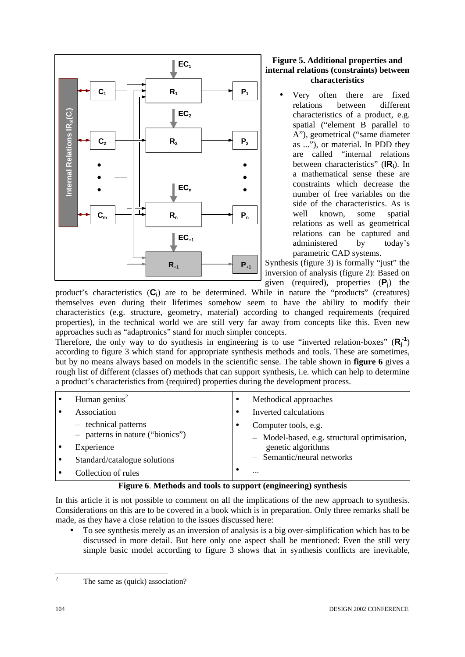

### **Figure 5. Additional properties and internal relations (constraints) between characteristics**

Very often there are fixed relations between different characteristics of a product, e.g. spatial ("element B parallel to A"), geometrical ("same diameter as ..."), or material. In PDD they are called "internal relations between characteristics" (**IRi**). In a mathematical sense these are constraints which decrease the number of free variables on the side of the characteristics. As is well known, some spatial relations as well as geometrical relations can be captured and administered by today's parametric CAD systems.

Synthesis (figure 3) is formally "just" the inversion of analysis (figure 2): Based on given (required), properties (**Pj**) the

product's characteristics (**Ci**) are to be determined. While in nature the "products" (creatures) themselves even during their lifetimes somehow seem to have the ability to modify their characteristics (e.g. structure, geometry, material) according to changed requirements (required properties), in the technical world we are still very far away from concepts like this. Even new approaches such as "adaptronics" stand for much simpler concepts.

Therefore, the only way to do synthesis in engineering is to use "inverted relation-boxes"  $(R_j^{-1})$ according to figure 3 which stand for appropriate synthesis methods and tools. These are sometimes, but by no means always based on models in the scientific sense. The table shown in **figure 6** gives a rough list of different (classes of) methods that can support synthesis, i.e. which can help to determine a product's characteristics from (required) properties during the development process.

| Human genius <sup>2</sup>                                | Methodical approaches                                                |
|----------------------------------------------------------|----------------------------------------------------------------------|
| Association                                              | Inverted calculations                                                |
| - technical patterns<br>- patterns in nature ("bionics") | Computer tools, e.g.<br>- Model-based, e.g. structural optimisation, |
| Experience                                               | genetic algorithms                                                   |
| Standard/catalogue solutions                             | - Semantic/neural networks                                           |
| Collection of rules                                      | $\cdots$                                                             |

## **Figure 6**. **Methods and tools to support (engineering) synthesis**

In this article it is not possible to comment on all the implications of the new approach to synthesis. Considerations on this are to be covered in a book which is in preparation. Only three remarks shall be made, as they have a close relation to the issues discussed here:

• To see synthesis merely as an inversion of analysis is a big over-simplification which has to be discussed in more detail. But here only one aspect shall be mentioned: Even the still very simple basic model according to figure 3 shows that in synthesis conflicts are inevitable,

 $\overline{2}$ 

The same as (quick) association?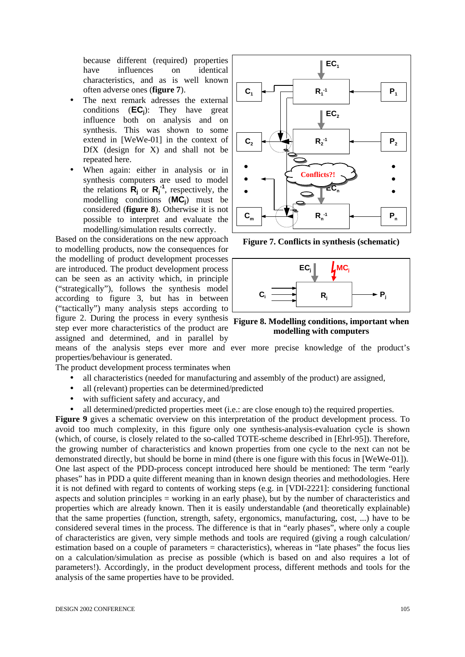because different (required) properties have influences on identical characteristics, and as is well known often adverse ones (**figure 7**).

- The next remark adresses the external conditions (**ECj**): They have great influence both on analysis and on synthesis. This was shown to some extend in [WeWe-01] in the context of DfX (design for X) and shall not be repeated here.
- When again: either in analysis or in synthesis computers are used to model the relations  $\overline{R}_j$  or  $\overline{R}_j^{-1}$ , respectively, the modelling conditions (**MCj**) must be considered (**figure 8**). Otherwise it is not possible to interpret and evaluate the modelling/simulation results correctly.

Based on the considerations on the new approach to modelling products, now the consequences for the modelling of product development processes are introduced. The product development process can be seen as an activity which, in principle ("strategically"), follows the synthesis model according to figure 3, but has in between ("tactically") many analysis steps according to figure 2. During the process in every synthesis **Figure 8. Modelling conditions, important when**  step ever more characteristics of the product are assigned and determined, and in parallel by



**Figure 7. Conflicts in synthesis (schematic)**



**modelling with computers**

means of the analysis steps ever more and ever more precise knowledge of the product's properties/behaviour is generated.

The product development process terminates when

- all characteristics (needed for manufacturing and assembly of the product) are assigned,
- all (relevant) properties can be determined/predicted
- with sufficient safety and accuracy, and
- all determined/predicted properties meet (i.e.: are close enough to) the required properties.

**Figure 9** gives a schematic overview on this interpretation of the product development process. To avoid too much complexity, in this figure only one synthesis-analysis-evaluation cycle is shown (which, of course, is closely related to the so-called TOTE-scheme described in [Ehrl-95]). Therefore, the growing number of characteristics and known properties from one cycle to the next can not be demonstrated directly, but should be borne in mind (there is one figure with this focus in [WeWe-01]). One last aspect of the PDD-process concept introduced here should be mentioned: The term "early phases" has in PDD a quite different meaning than in known design theories and methodologies. Here it is not defined with regard to contents of working steps (e.g. in [VDI-2221]: considering functional aspects and solution principles = working in an early phase), but by the number of characteristics and properties which are already known. Then it is easily understandable (and theoretically explainable) that the same properties (function, strength, safety, ergonomics, manufacturing, cost, ...) have to be considered several times in the process. The difference is that in "early phases", where only a couple of characteristics are given, very simple methods and tools are required (giving a rough calculation/ estimation based on a couple of parameters = characteristics), whereas in "late phases" the focus lies on a calculation/simulation as precise as possible (which is based on and also requires a lot of parameters!). Accordingly, in the product development process, different methods and tools for the analysis of the same properties have to be provided.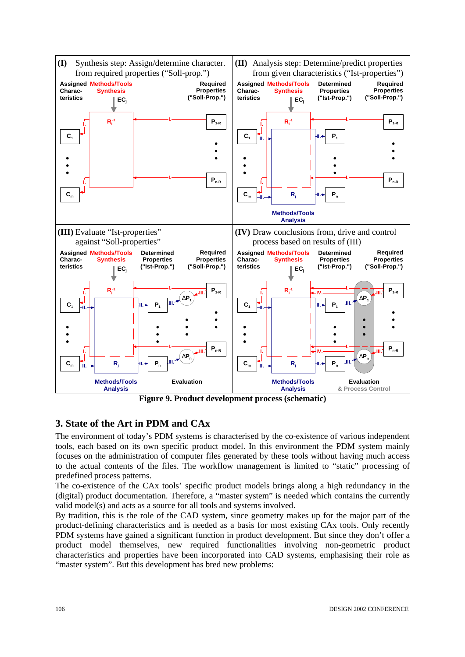

**Figure 9. Product development process (schematic)**

# **3. State of the Art in PDM and CAx**

The environment of today's PDM systems is characterised by the co-existence of various independent tools, each based on its own specific product model. In this environment the PDM system mainly focuses on the administration of computer files generated by these tools without having much access to the actual contents of the files. The workflow management is limited to "static" processing of predefined process patterns.

The co-existence of the CAx tools' specific product models brings along a high redundancy in the (digital) product documentation. Therefore, a "master system" is needed which contains the currently valid model(s) and acts as a source for all tools and systems involved.

By tradition, this is the role of the CAD system, since geometry makes up for the major part of the product-defining characteristics and is needed as a basis for most existing CAx tools. Only recently PDM systems have gained a significant function in product development. But since they don't offer a product model themselves, new required functionalities involving non-geometric product characteristics and properties have been incorporated into CAD systems, emphasising their role as "master system". But this development has bred new problems: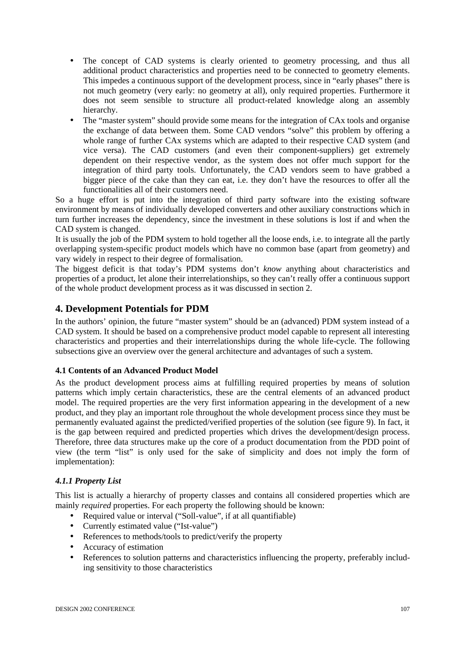- The concept of CAD systems is clearly oriented to geometry processing, and thus all additional product characteristics and properties need to be connected to geometry elements. This impedes a continuous support of the development process, since in "early phases" there is not much geometry (very early: no geometry at all), only required properties. Furthermore it does not seem sensible to structure all product-related knowledge along an assembly hierarchy.
- The "master system" should provide some means for the integration of CAx tools and organise the exchange of data between them. Some CAD vendors "solve" this problem by offering a whole range of further CAx systems which are adapted to their respective CAD system (and vice versa). The CAD customers (and even their component-suppliers) get extremely dependent on their respective vendor, as the system does not offer much support for the integration of third party tools. Unfortunately, the CAD vendors seem to have grabbed a bigger piece of the cake than they can eat, i.e. they don't have the resources to offer all the functionalities all of their customers need.

So a huge effort is put into the integration of third party software into the existing software environment by means of individually developed converters and other auxiliary constructions which in turn further increases the dependency, since the investment in these solutions is lost if and when the CAD system is changed.

It is usually the job of the PDM system to hold together all the loose ends, i.e. to integrate all the partly overlapping system-specific product models which have no common base (apart from geometry) and vary widely in respect to their degree of formalisation.

The biggest deficit is that today's PDM systems don't *know* anything about characteristics and properties of a product, let alone their interrelationships, so they can't really offer a continuous support of the whole product development process as it was discussed in section 2.

# **4. Development Potentials for PDM**

In the authors' opinion, the future "master system" should be an (advanced) PDM system instead of a CAD system. It should be based on a comprehensive product model capable to represent all interesting characteristics and properties and their interrelationships during the whole life-cycle. The following subsections give an overview over the general architecture and advantages of such a system.

## **4.1 Contents of an Advanced Product Model**

As the product development process aims at fulfilling required properties by means of solution patterns which imply certain characteristics, these are the central elements of an advanced product model. The required properties are the very first information appearing in the development of a new product, and they play an important role throughout the whole development process since they must be permanently evaluated against the predicted/verified properties of the solution (see figure 9). In fact, it is the gap between required and predicted properties which drives the development/design process. Therefore, three data structures make up the core of a product documentation from the PDD point of view (the term "list" is only used for the sake of simplicity and does not imply the form of implementation):

## *4.1.1 Property List*

This list is actually a hierarchy of property classes and contains all considered properties which are mainly *required* properties. For each property the following should be known:

- Required value or interval ("Soll-value", if at all quantifiable)
- Currently estimated value ("Ist-value")
- References to methods/tools to predict/verify the property
- Accuracy of estimation
- References to solution patterns and characteristics influencing the property, preferably including sensitivity to those characteristics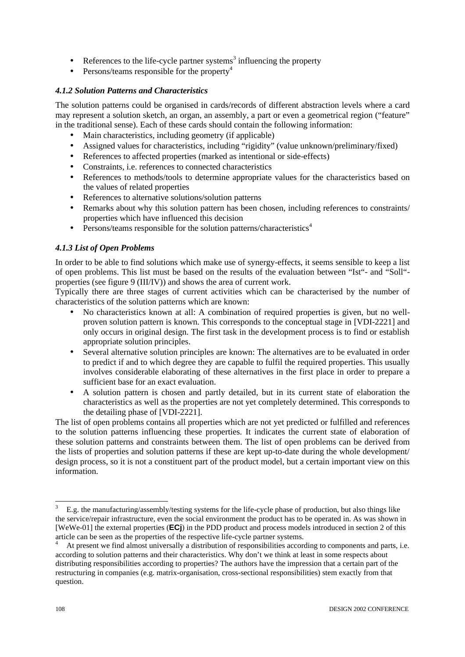- References to the life-cycle partner systems<sup>3</sup> influencing the property
- Persons/teams responsible for the property<sup>4</sup>

## *4.1.2 Solution Patterns and Characteristics*

The solution patterns could be organised in cards/records of different abstraction levels where a card may represent a solution sketch, an organ, an assembly, a part or even a geometrical region ("feature" in the traditional sense). Each of these cards should contain the following information:

- Main characteristics, including geometry (if applicable)
- Assigned values for characteristics, including "rigidity" (value unknown/preliminary/fixed)
- References to affected properties (marked as intentional or side-effects)
- Constraints, i.e. references to connected characteristics
- References to methods/tools to determine appropriate values for the characteristics based on the values of related properties
- References to alternative solutions/solution patterns
- Remarks about why this solution pattern has been chosen, including references to constraints/ properties which have influenced this decision
- Persons/teams responsible for the solution patterns/characteristics<sup>4</sup>

# *4.1.3 List of Open Problems*

In order to be able to find solutions which make use of synergy-effects, it seems sensible to keep a list of open problems. This list must be based on the results of the evaluation between "Ist"- and "Soll" properties (see figure 9 (III/IV)) and shows the area of current work.

Typically there are three stages of current activities which can be characterised by the number of characteristics of the solution patterns which are known:

- No characteristics known at all: A combination of required properties is given, but no wellproven solution pattern is known. This corresponds to the conceptual stage in [VDI-2221] and only occurs in original design. The first task in the development process is to find or establish appropriate solution principles.
- Several alternative solution principles are known: The alternatives are to be evaluated in order to predict if and to which degree they are capable to fulfil the required properties. This usually involves considerable elaborating of these alternatives in the first place in order to prepare a sufficient base for an exact evaluation.
- A solution pattern is chosen and partly detailed, but in its current state of elaboration the characteristics as well as the properties are not yet completely determined. This corresponds to the detailing phase of [VDI-2221].

The list of open problems contains all properties which are not yet predicted or fulfilled and references to the solution patterns influencing these properties. It indicates the current state of elaboration of these solution patterns and constraints between them. The list of open problems can be derived from the lists of properties and solution patterns if these are kept up-to-date during the whole development/ design process, so it is not a constituent part of the product model, but a certain important view on this information.

l

<sup>3</sup> E.g. the manufacturing/assembly/testing systems for the life-cycle phase of production, but also things like the service/repair infrastructure, even the social environment the product has to be operated in. As was shown in [WeWe-01] the external properties (**ECj**) in the PDD product and process models introduced in section 2 of this article can be seen as the properties of the respective life-cycle partner systems.

<sup>4</sup> At present we find almost universally a distribution of responsibilities according to components and parts, i.e. according to solution patterns and their characteristics. Why don't we think at least in some respects about distributing responsibilities according to properties? The authors have the impression that a certain part of the restructuring in companies (e.g. matrix-organisation, cross-sectional responsibilities) stem exactly from that question.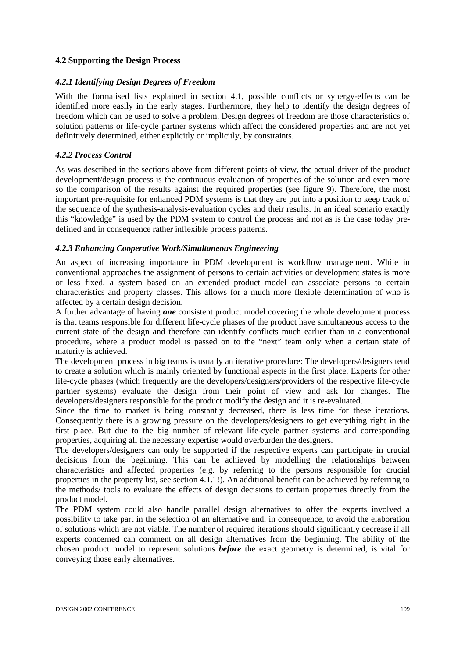#### **4.2 Supporting the Design Process**

#### *4.2.1 Identifying Design Degrees of Freedom*

With the formalised lists explained in section 4.1, possible conflicts or synergy-effects can be identified more easily in the early stages. Furthermore, they help to identify the design degrees of freedom which can be used to solve a problem. Design degrees of freedom are those characteristics of solution patterns or life-cycle partner systems which affect the considered properties and are not yet definitively determined, either explicitly or implicitly, by constraints.

#### *4.2.2 Process Control*

As was described in the sections above from different points of view, the actual driver of the product development/design process is the continuous evaluation of properties of the solution and even more so the comparison of the results against the required properties (see figure 9). Therefore, the most important pre-requisite for enhanced PDM systems is that they are put into a position to keep track of the sequence of the synthesis-analysis-evaluation cycles and their results. In an ideal scenario exactly this "knowledge" is used by the PDM system to control the process and not as is the case today predefined and in consequence rather inflexible process patterns.

#### *4.2.3 Enhancing Cooperative Work/Simultaneous Engineering*

An aspect of increasing importance in PDM development is workflow management. While in conventional approaches the assignment of persons to certain activities or development states is more or less fixed, a system based on an extended product model can associate persons to certain characteristics and property classes. This allows for a much more flexible determination of who is affected by a certain design decision.

A further advantage of having *one* consistent product model covering the whole development process is that teams responsible for different life-cycle phases of the product have simultaneous access to the current state of the design and therefore can identify conflicts much earlier than in a conventional procedure, where a product model is passed on to the "next" team only when a certain state of maturity is achieved.

The development process in big teams is usually an iterative procedure: The developers/designers tend to create a solution which is mainly oriented by functional aspects in the first place. Experts for other life-cycle phases (which frequently are the developers/designers/providers of the respective life-cycle partner systems) evaluate the design from their point of view and ask for changes. The developers/designers responsible for the product modify the design and it is re-evaluated.

Since the time to market is being constantly decreased, there is less time for these iterations. Consequently there is a growing pressure on the developers/designers to get everything right in the first place. But due to the big number of relevant life-cycle partner systems and corresponding properties, acquiring all the necessary expertise would overburden the designers.

The developers/designers can only be supported if the respective experts can participate in crucial decisions from the beginning. This can be achieved by modelling the relationships between characteristics and affected properties (e.g. by referring to the persons responsible for crucial properties in the property list, see section 4.1.1!). An additional benefit can be achieved by referring to the methods/ tools to evaluate the effects of design decisions to certain properties directly from the product model.

The PDM system could also handle parallel design alternatives to offer the experts involved a possibility to take part in the selection of an alternative and, in consequence, to avoid the elaboration of solutions which are not viable. The number of required iterations should significantly decrease if all experts concerned can comment on all design alternatives from the beginning. The ability of the chosen product model to represent solutions *before* the exact geometry is determined, is vital for conveying those early alternatives.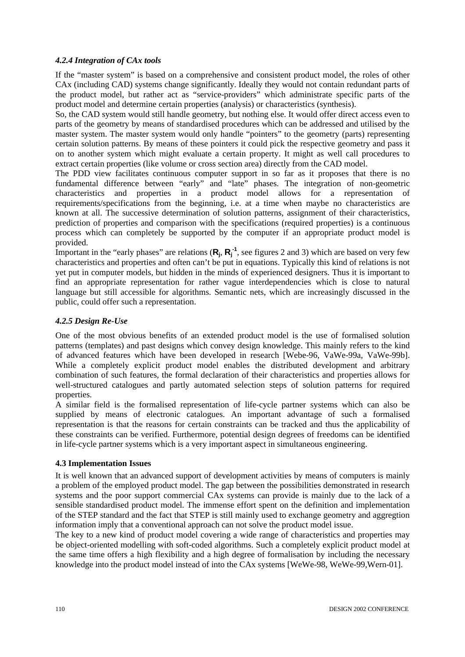### *4.2.4 Integration of CAx tools*

If the "master system" is based on a comprehensive and consistent product model, the roles of other CAx (including CAD) systems change significantly. Ideally they would not contain redundant parts of the product model, but rather act as "service-providers" which administrate specific parts of the product model and determine certain properties (analysis) or characteristics (synthesis).

So, the CAD system would still handle geometry, but nothing else. It would offer direct access even to parts of the geometry by means of standardised procedures which can be addressed and utilised by the master system. The master system would only handle "pointers" to the geometry (parts) representing certain solution patterns. By means of these pointers it could pick the respective geometry and pass it on to another system which might evaluate a certain property. It might as well call procedures to extract certain properties (like volume or cross section area) directly from the CAD model.

The PDD view facilitates continuous computer support in so far as it proposes that there is no fundamental difference between "early" and "late" phases. The integration of non-geometric characteristics and properties in a product model allows for a representation of requirements/specifications from the beginning, i.e. at a time when maybe no characteristics are known at all. The successive determination of solution patterns, assignment of their characteristics, prediction of properties and comparison with the specifications (required properties) is a continuous process which can completely be supported by the computer if an appropriate product model is provided.

Important in the "early phases" are relations  $(R_j, R_j^{-1})$ , see figures 2 and 3) which are based on very few characteristics and properties and often can't be put in equations. Typically this kind of relations is not yet put in computer models, but hidden in the minds of experienced designers. Thus it is important to find an appropriate representation for rather vague interdependencies which is close to natural language but still accessible for algorithms. Semantic nets, which are increasingly discussed in the public, could offer such a representation.

### *4.2.5 Design Re-Use*

One of the most obvious benefits of an extended product model is the use of formalised solution patterns (templates) and past designs which convey design knowledge. This mainly refers to the kind of advanced features which have been developed in research [Webe-96, VaWe-99a, VaWe-99b]. While a completely explicit product model enables the distributed development and arbitrary combination of such features, the formal declaration of their characteristics and properties allows for well-structured catalogues and partly automated selection steps of solution patterns for required properties.

A similar field is the formalised representation of life-cycle partner systems which can also be supplied by means of electronic catalogues. An important advantage of such a formalised representation is that the reasons for certain constraints can be tracked and thus the applicability of these constraints can be verified. Furthermore, potential design degrees of freedoms can be identified in life-cycle partner systems which is a very important aspect in simultaneous engineering.

## **4.3 Implementation Issues**

It is well known that an advanced support of development activities by means of computers is mainly a problem of the employed product model. The gap between the possibilities demonstrated in research systems and the poor support commercial CAx systems can provide is mainly due to the lack of a sensible standardised product model. The immense effort spent on the definition and implementation of the STEP standard and the fact that STEP is still mainly used to exchange geometry and aggregtion information imply that a conventional approach can not solve the product model issue.

The key to a new kind of product model covering a wide range of characteristics and properties may be object-oriented modelling with soft-coded algorithms. Such a completely explicit product model at the same time offers a high flexibility and a high degree of formalisation by including the necessary knowledge into the product model instead of into the CAx systems [WeWe-98, WeWe-99,Wern-01].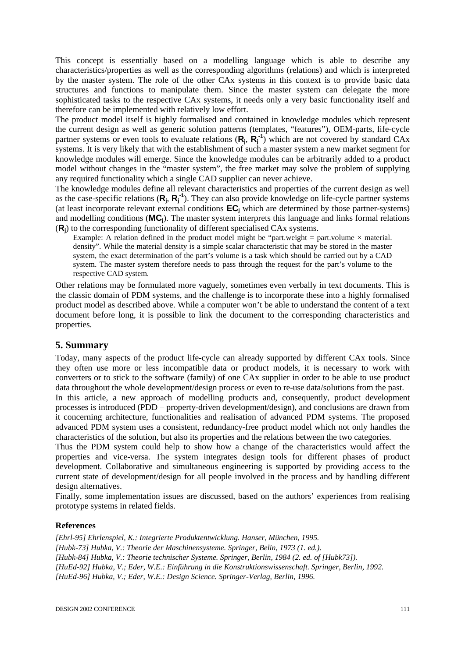This concept is essentially based on a modelling language which is able to describe any characteristics/properties as well as the corresponding algorithms (relations) and which is interpreted by the master system. The role of the other CAx systems in this context is to provide basic data structures and functions to manipulate them. Since the master system can delegate the more sophisticated tasks to the respective CAx systems, it needs only a very basic functionality itself and therefore can be implemented with relatively low effort.

The product model itself is highly formalised and contained in knowledge modules which represent the current design as well as generic solution patterns (templates, "features"), OEM-parts, life-cycle partner systems or even tools to evaluate relations  $(R_j, R_j^{-1})$  which are not covered by standard CAx systems. It is very likely that with the establishment of such a master system a new market segment for knowledge modules will emerge. Since the knowledge modules can be arbitrarily added to a product model without changes in the "master system", the free market may solve the problem of supplying any required functionality which a single CAD supplier can never achieve.

The knowledge modules define all relevant characteristics and properties of the current design as well as the case-specific relations  $(R_j, R_j^{-1})$ . They can also provide knowledge on life-cycle partner systems (at least incorporate relevant external conditions **EC<sup>j</sup>** which are determined by those partner-systems) and modelling conditions (**MCj**). The master system interprets this language and links formal relations (**Rj**) to the corresponding functionality of different specialised CAx systems.

Example: A relation defined in the product model might be "part.weight = part.volume  $\times$  material. density". While the material density is a simple scalar characteristic that may be stored in the master system, the exact determination of the part's volume is a task which should be carried out by a CAD system. The master system therefore needs to pass through the request for the part's volume to the respective CAD system.

Other relations may be formulated more vaguely, sometimes even verbally in text documents. This is the classic domain of PDM systems, and the challenge is to incorporate these into a highly formalised product model as described above. While a computer won't be able to understand the content of a text document before long, it is possible to link the document to the corresponding characteristics and properties.

# **5. Summary**

Today, many aspects of the product life-cycle can already supported by different CAx tools. Since they often use more or less incompatible data or product models, it is necessary to work with converters or to stick to the software (family) of one CAx supplier in order to be able to use product data throughout the whole development/design process or even to re-use data/solutions from the past.

In this article, a new approach of modelling products and, consequently, product development processes is introduced (PDD – property-driven development/design), and conclusions are drawn from it concerning architecture, functionalities and realisation of advanced PDM systems. The proposed advanced PDM system uses a consistent, redundancy-free product model which not only handles the characteristics of the solution, but also its properties and the relations between the two categories.

Thus the PDM system could help to show how a change of the characteristics would affect the properties and vice-versa. The system integrates design tools for different phases of product development. Collaborative and simultaneous engineering is supported by providing access to the current state of development/design for all people involved in the process and by handling different design alternatives.

Finally, some implementation issues are discussed, based on the authors' experiences from realising prototype systems in related fields.

#### **References**

*[Ehrl-95] Ehrlenspiel, K.: Integrierte Produktentwicklung. Hanser, München, 1995. [Hubk-73] Hubka, V.: Theorie der Maschinensysteme. Springer, Belin, 1973 (1. ed.). [Hubk-84] Hubka, V.: Theorie technischer Systeme. Springer, Berlin, 1984 (2. ed. of [Hubk73]). [HuEd-92] Hubka, V.; Eder, W.E.: Einführung in die Konstruktionswissenschaft. Springer, Berlin, 1992. [HuEd-96] Hubka, V.; Eder, W.E.: Design Science. Springer-Verlag, Berlin, 1996.*